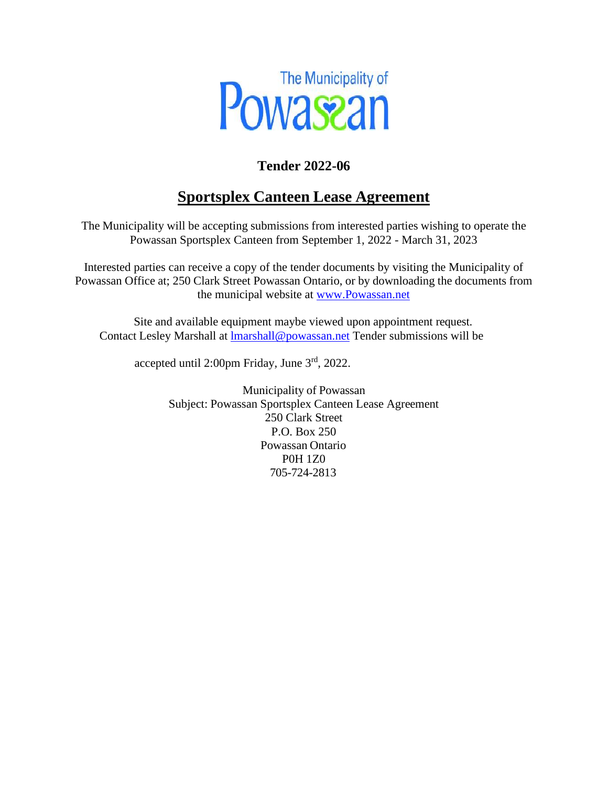

### **Tender 2022-06**

## **Sportsplex Canteen Lease Agreement**

The Municipality will be accepting submissions from interested parties wishing to operate the Powassan Sportsplex Canteen from September 1, 2022 - March 31, 2023

Interested parties can receive a copy of the tender documents by visiting the Municipality of Powassan Office at; 250 Clark Street Powassan Ontario, or by downloading the documents from the municipal website [at www.Powassan.net](http://www.powassan.net/)

Site and available equipment maybe viewed upon appointment request. Contact Lesley Marshall at [lmarshall@powassan.net](mailto:mheasman@powassan.net) Tender submissions will be

accepted until 2:00pm Friday, June 3rd, 2022.

Municipality of Powassan Subject: Powassan Sportsplex Canteen Lease Agreement 250 Clark Street P.O. Box 250 Powassan Ontario P0H 1Z0 705-724-2813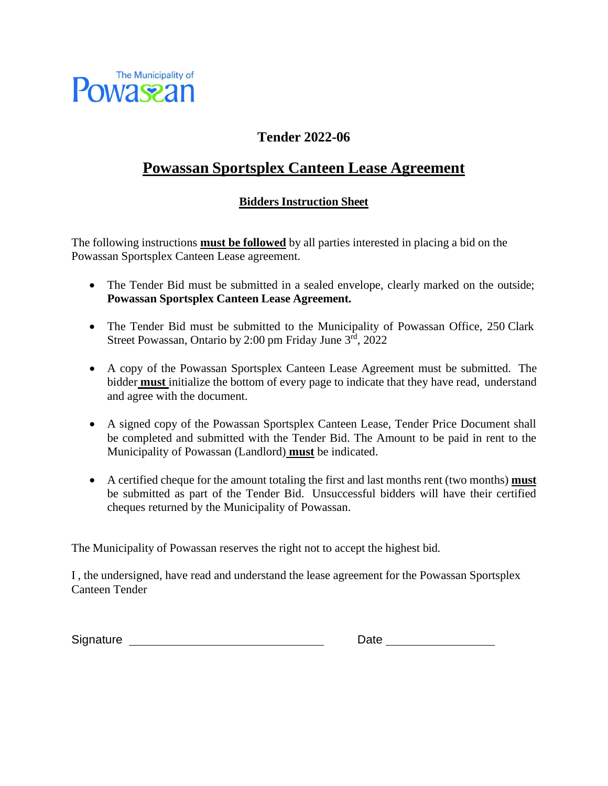

#### **Tender 2022-06**

### **Powassan Sportsplex Canteen Lease Agreement**

#### **Bidders Instruction Sheet**

The following instructions **must be followed** by all parties interested in placing a bid on the Powassan Sportsplex Canteen Lease agreement.

- The Tender Bid must be submitted in a sealed envelope, clearly marked on the outside; **Powassan Sportsplex Canteen Lease Agreement.**
- The Tender Bid must be submitted to the Municipality of Powassan Office, 250 Clark Street Powassan, Ontario by 2:00 pm Friday June 3rd, 2022
- A copy of the Powassan Sportsplex Canteen Lease Agreement must be submitted. The bidder **must** initialize the bottom of every page to indicate that they have read, understand and agree with the document.
- A signed copy of the Powassan Sportsplex Canteen Lease, Tender Price Document shall be completed and submitted with the Tender Bid. The Amount to be paid in rent to the Municipality of Powassan (Landlord) **must** be indicated.
- A certified cheque for the amount totaling the first and last months rent (two months) **must**  be submitted as part of the Tender Bid. Unsuccessful bidders will have their certified cheques returned by the Municipality of Powassan.

The Municipality of Powassan reserves the right not to accept the highest bid.

I , the undersigned, have read and understand the lease agreement for the Powassan Sportsplex Canteen Tender

Signature National Signature Contract of the Date of the United States of the United States of the United States of the United States of the United States of the United States of the United States of the United States of t